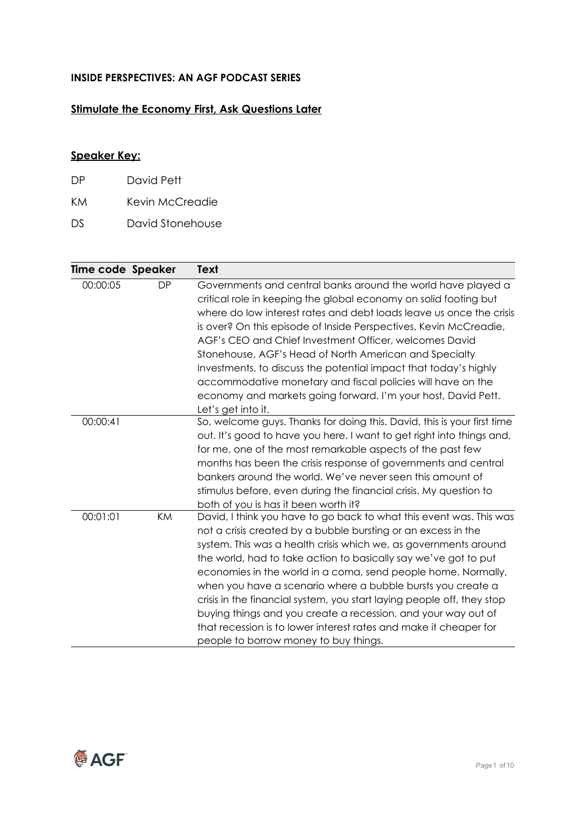## **INSIDE PERSPECTIVES: AN AGF PODCAST SERIES**

## **Stimulate the Economy First, Ask Questions Later**

## **Speaker Key:**

| DP. | David Pett      |
|-----|-----------------|
| KM  | Kevin McCreadie |

DS David Stonehouse

| Time code Speaker |           | Text                                                                    |
|-------------------|-----------|-------------------------------------------------------------------------|
| 00:00:05          | <b>DP</b> | Governments and central banks around the world have played a            |
|                   |           | critical role in keeping the global economy on solid footing but        |
|                   |           | where do low interest rates and debt loads leave us once the crisis     |
|                   |           | is over? On this episode of Inside Perspectives, Kevin McCreadie,       |
|                   |           | AGF's CEO and Chief Investment Officer, welcomes David                  |
|                   |           | Stonehouse, AGF's Head of North American and Specialty                  |
|                   |           | Investments, to discuss the potential impact that today's highly        |
|                   |           | accommodative monetary and fiscal policies will have on the             |
|                   |           | economy and markets going forward. I'm your host, David Pett.           |
|                   |           | Let's get into it.                                                      |
| 00:00:41          |           | So, welcome guys. Thanks for doing this. David, this is your first time |
|                   |           | out. It's good to have you here. I want to get right into things and,   |
|                   |           | for me, one of the most remarkable aspects of the past few              |
|                   |           | months has been the crisis response of governments and central          |
|                   |           | bankers around the world. We've never seen this amount of               |
|                   |           | stimulus before, even during the financial crisis. My question to       |
|                   |           | both of you is has it been worth it?                                    |
| 00:01:01          | <b>KM</b> | David, I think you have to go back to what this event was. This was     |
|                   |           | not a crisis created by a bubble bursting or an excess in the           |
|                   |           | system. This was a health crisis which we, as governments around        |
|                   |           | the world, had to take action to basically say we've got to put         |
|                   |           | economies in the world in a coma, send people home. Normally,           |
|                   |           | when you have a scenario where a bubble bursts you create a             |
|                   |           | crisis in the financial system, you start laying people off, they stop  |
|                   |           | buying things and you create a recession, and your way out of           |
|                   |           | that recession is to lower interest rates and make it cheaper for       |
|                   |           | people to borrow money to buy things.                                   |

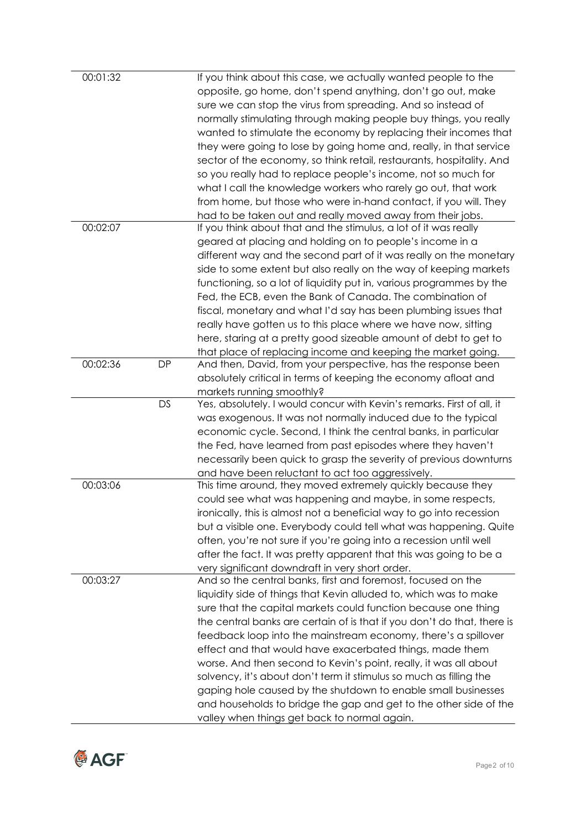| 00:01:32 |           | If you think about this case, we actually wanted people to the<br>opposite, go home, don't spend anything, don't go out, make<br>sure we can stop the virus from spreading. And so instead of<br>normally stimulating through making people buy things, you really<br>wanted to stimulate the economy by replacing their incomes that<br>they were going to lose by going home and, really, in that service<br>sector of the economy, so think retail, restaurants, hospitality. And<br>so you really had to replace people's income, not so much for<br>what I call the knowledge workers who rarely go out, that work<br>from home, but those who were in-hand contact, if you will. They<br>had to be taken out and really moved away from their jobs. |
|----------|-----------|-----------------------------------------------------------------------------------------------------------------------------------------------------------------------------------------------------------------------------------------------------------------------------------------------------------------------------------------------------------------------------------------------------------------------------------------------------------------------------------------------------------------------------------------------------------------------------------------------------------------------------------------------------------------------------------------------------------------------------------------------------------|
| 00:02:07 |           | If you think about that and the stimulus, a lot of it was really<br>geared at placing and holding on to people's income in a<br>different way and the second part of it was really on the monetary<br>side to some extent but also really on the way of keeping markets<br>functioning, so a lot of liquidity put in, various programmes by the<br>Fed, the ECB, even the Bank of Canada. The combination of<br>fiscal, monetary and what I'd say has been plumbing issues that<br>really have gotten us to this place where we have now, sitting<br>here, staring at a pretty good sizeable amount of debt to get to<br>that place of replacing income and keeping the market going.                                                                     |
| 00:02:36 | <b>DP</b> | And then, David, from your perspective, has the response been<br>absolutely critical in terms of keeping the economy afloat and                                                                                                                                                                                                                                                                                                                                                                                                                                                                                                                                                                                                                           |
|          | <b>DS</b> | markets running smoothly?<br>Yes, absolutely. I would concur with Kevin's remarks. First of all, it                                                                                                                                                                                                                                                                                                                                                                                                                                                                                                                                                                                                                                                       |
|          |           | was exogenous. It was not normally induced due to the typical                                                                                                                                                                                                                                                                                                                                                                                                                                                                                                                                                                                                                                                                                             |
|          |           | economic cycle. Second, I think the central banks, in particular                                                                                                                                                                                                                                                                                                                                                                                                                                                                                                                                                                                                                                                                                          |
|          |           | the Fed, have learned from past episodes where they haven't                                                                                                                                                                                                                                                                                                                                                                                                                                                                                                                                                                                                                                                                                               |
|          |           | necessarily been quick to grasp the severity of previous downturns                                                                                                                                                                                                                                                                                                                                                                                                                                                                                                                                                                                                                                                                                        |
|          |           | and have been reluctant to act too aggressively.                                                                                                                                                                                                                                                                                                                                                                                                                                                                                                                                                                                                                                                                                                          |
| 00:03:06 |           | This time around, they moved extremely quickly because they                                                                                                                                                                                                                                                                                                                                                                                                                                                                                                                                                                                                                                                                                               |
|          |           | could see what was happening and maybe, in some respects,                                                                                                                                                                                                                                                                                                                                                                                                                                                                                                                                                                                                                                                                                                 |
|          |           | ironically, this is almost not a beneficial way to go into recession                                                                                                                                                                                                                                                                                                                                                                                                                                                                                                                                                                                                                                                                                      |
|          |           | but a visible one. Everybody could tell what was happening. Quite                                                                                                                                                                                                                                                                                                                                                                                                                                                                                                                                                                                                                                                                                         |
|          |           | often, you're not sure if you're going into a recession until well                                                                                                                                                                                                                                                                                                                                                                                                                                                                                                                                                                                                                                                                                        |
|          |           | after the fact. It was pretty apparent that this was going to be a                                                                                                                                                                                                                                                                                                                                                                                                                                                                                                                                                                                                                                                                                        |
| 00:03:27 |           | very significant downdraft in very short order.<br>And so the central banks, first and foremost, focused on the                                                                                                                                                                                                                                                                                                                                                                                                                                                                                                                                                                                                                                           |
|          |           | liquidity side of things that Kevin alluded to, which was to make                                                                                                                                                                                                                                                                                                                                                                                                                                                                                                                                                                                                                                                                                         |
|          |           | sure that the capital markets could function because one thing                                                                                                                                                                                                                                                                                                                                                                                                                                                                                                                                                                                                                                                                                            |
|          |           | the central banks are certain of is that if you don't do that, there is                                                                                                                                                                                                                                                                                                                                                                                                                                                                                                                                                                                                                                                                                   |
|          |           | feedback loop into the mainstream economy, there's a spillover                                                                                                                                                                                                                                                                                                                                                                                                                                                                                                                                                                                                                                                                                            |
|          |           | effect and that would have exacerbated things, made them                                                                                                                                                                                                                                                                                                                                                                                                                                                                                                                                                                                                                                                                                                  |
|          |           | worse. And then second to Kevin's point, really, it was all about                                                                                                                                                                                                                                                                                                                                                                                                                                                                                                                                                                                                                                                                                         |
|          |           | solvency, it's about don't term it stimulus so much as filling the                                                                                                                                                                                                                                                                                                                                                                                                                                                                                                                                                                                                                                                                                        |
|          |           | gaping hole caused by the shutdown to enable small businesses                                                                                                                                                                                                                                                                                                                                                                                                                                                                                                                                                                                                                                                                                             |
|          |           | and households to bridge the gap and get to the other side of the                                                                                                                                                                                                                                                                                                                                                                                                                                                                                                                                                                                                                                                                                         |
|          |           | valley when things get back to normal again.                                                                                                                                                                                                                                                                                                                                                                                                                                                                                                                                                                                                                                                                                                              |

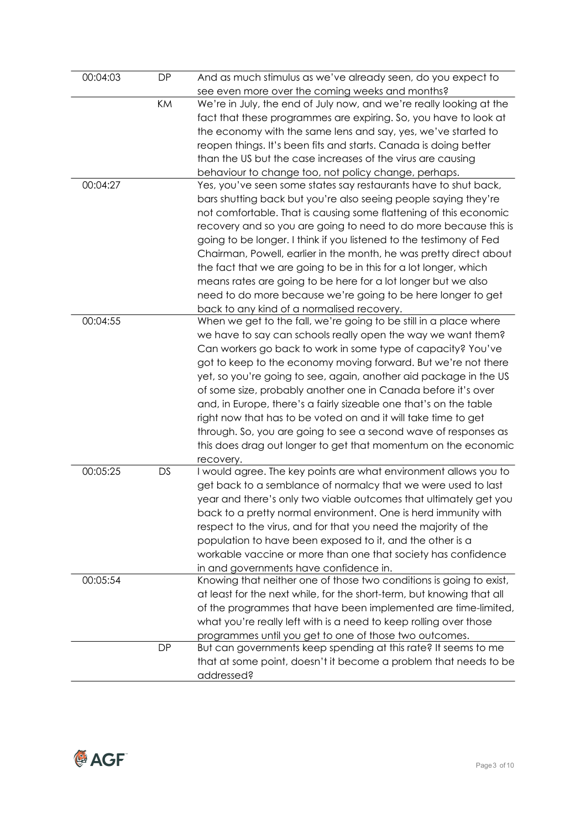| 00:04:03 | DP        | And as much stimulus as we've already seen, do you expect to          |
|----------|-----------|-----------------------------------------------------------------------|
|          |           | see even more over the coming weeks and months?                       |
|          | KM        | We're in July, the end of July now, and we're really looking at the   |
|          |           | fact that these programmes are expiring. So, you have to look at      |
|          |           | the economy with the same lens and say, yes, we've started to         |
|          |           | reopen things. It's been fits and starts. Canada is doing better      |
|          |           | than the US but the case increases of the virus are causing           |
|          |           | behaviour to change too, not policy change, perhaps.                  |
| 00:04:27 |           | Yes, you've seen some states say restaurants have to shut back,       |
|          |           | bars shutting back but you're also seeing people saying they're       |
|          |           | not comfortable. That is causing some flattening of this economic     |
|          |           | recovery and so you are going to need to do more because this is      |
|          |           | going to be longer. I think if you listened to the testimony of Fed   |
|          |           | Chairman, Powell, earlier in the month, he was pretty direct about    |
|          |           | the fact that we are going to be in this for a lot longer, which      |
|          |           |                                                                       |
|          |           | means rates are going to be here for a lot longer but we also         |
|          |           | need to do more because we're going to be here longer to get          |
| 00:04:55 |           | back to any kind of a normalised recovery.                            |
|          |           | When we get to the fall, we're going to be still in a place where     |
|          |           | we have to say can schools really open the way we want them?          |
|          |           | Can workers go back to work in some type of capacity? You've          |
|          |           | got to keep to the economy moving forward. But we're not there        |
|          |           | yet, so you're going to see, again, another aid package in the US     |
|          |           | of some size, probably another one in Canada before it's over         |
|          |           | and, in Europe, there's a fairly sizeable one that's on the table     |
|          |           | right now that has to be voted on and it will take time to get        |
|          |           | through. So, you are going to see a second wave of responses as       |
|          |           | this does drag out longer to get that momentum on the economic        |
|          |           | recovery.                                                             |
| 00:05:25 | DS        | I would agree. The key points are what environment allows you to      |
|          |           | get back to a semblance of normalcy that we were used to last         |
|          |           | year and there's only two viable outcomes that ultimately get you     |
|          |           | back to a pretty normal environment. One is herd immunity with        |
|          |           | respect to the virus, and for that you need the majority of the       |
|          |           | population to have been exposed to it, and the other is a             |
|          |           | workable vaccine or more than one that society has confidence         |
|          |           | in and governments have confidence in.                                |
| 00:05:54 |           | Knowing that neither one of those two conditions is going to exist,   |
|          |           | at least for the next while, for the short-term, but knowing that all |
|          |           | of the programmes that have been implemented are time-limited,        |
|          |           | what you're really left with is a need to keep rolling over those     |
|          |           | programmes until you get to one of those two outcomes.                |
|          | <b>DP</b> | But can governments keep spending at this rate? It seems to me        |
|          |           | that at some point, doesn't it become a problem that needs to be      |
|          |           | addressed?                                                            |
|          |           |                                                                       |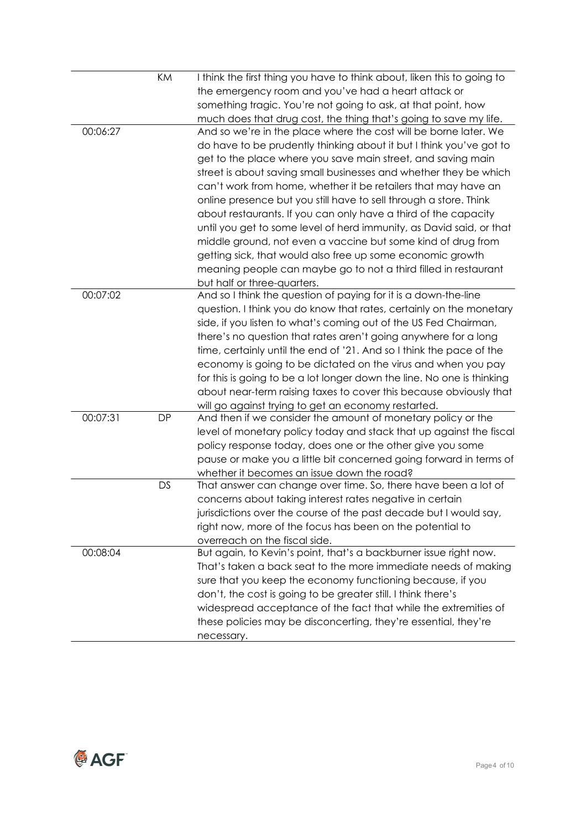|          | KM        | I think the first thing you have to think about, liken this to going to |
|----------|-----------|-------------------------------------------------------------------------|
|          |           | the emergency room and you've had a heart attack or                     |
|          |           | something tragic. You're not going to ask, at that point, how           |
|          |           | much does that drug cost, the thing that's going to save my life.       |
| 00:06:27 |           | And so we're in the place where the cost will be borne later. We        |
|          |           | do have to be prudently thinking about it but I think you've got to     |
|          |           | get to the place where you save main street, and saving main            |
|          |           | street is about saving small businesses and whether they be which       |
|          |           | can't work from home, whether it be retailers that may have an          |
|          |           | online presence but you still have to sell through a store. Think       |
|          |           | about restaurants. If you can only have a third of the capacity         |
|          |           | until you get to some level of herd immunity, as David said, or that    |
|          |           | middle ground, not even a vaccine but some kind of drug from            |
|          |           | getting sick, that would also free up some economic growth              |
|          |           | meaning people can maybe go to not a third filled in restaurant         |
|          |           | but half or three-quarters.                                             |
| 00:07:02 |           | And so I think the question of paying for it is a down-the-line         |
|          |           | question. I think you do know that rates, certainly on the monetary     |
|          |           | side, if you listen to what's coming out of the US Fed Chairman,        |
|          |           | there's no question that rates aren't going anywhere for a long         |
|          |           | time, certainly until the end of '21. And so I think the pace of the    |
|          |           | economy is going to be dictated on the virus and when you pay           |
|          |           | for this is going to be a lot longer down the line. No one is thinking  |
|          |           | about near-term raising taxes to cover this because obviously that      |
|          |           | will go against trying to get an economy restarted.                     |
| 00:07:31 | <b>DP</b> | And then if we consider the amount of monetary policy or the            |
|          |           | level of monetary policy today and stack that up against the fiscal     |
|          |           | policy response today, does one or the other give you some              |
|          |           | pause or make you a little bit concerned going forward in terms of      |
|          |           | whether it becomes an issue down the road?                              |
|          | <b>DS</b> | That answer can change over time. So, there have been a lot of          |
|          |           | concerns about taking interest rates negative in certain                |
|          |           | jurisdictions over the course of the past decade but I would say,       |
|          |           | right now, more of the focus has been on the potential to               |
|          |           | overreach on the fiscal side.                                           |
| 00:08:04 |           | But again, to Kevin's point, that's a backburner issue right now.       |
|          |           | That's taken a back seat to the more immediate needs of making          |
|          |           | sure that you keep the economy functioning because, if you              |
|          |           | don't, the cost is going to be greater still. I think there's           |
|          |           | widespread acceptance of the fact that while the extremities of         |
|          |           | these policies may be disconcerting, they're essential, they're         |
|          |           | necessary.                                                              |

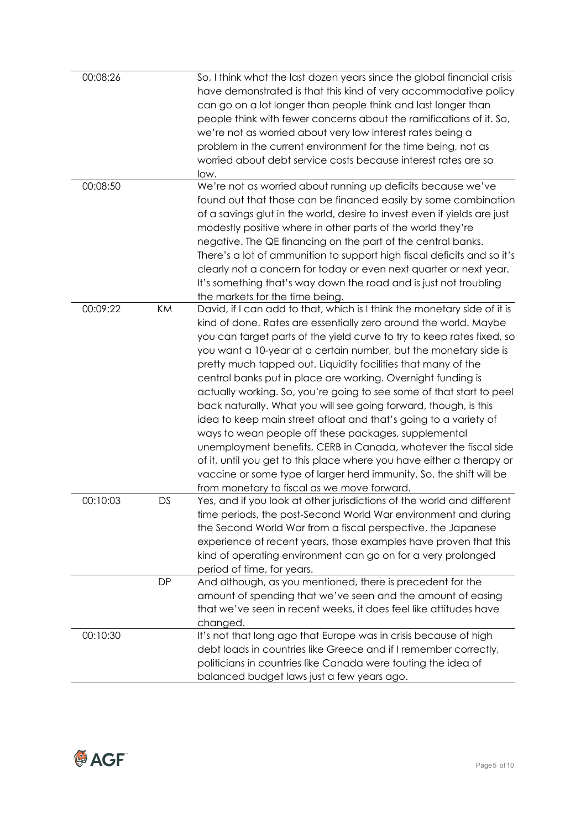| 00:08:26<br>00:08:50 |           | So, I think what the last dozen years since the global financial crisis<br>have demonstrated is that this kind of very accommodative policy<br>can go on a lot longer than people think and last longer than<br>people think with fewer concerns about the ramifications of it. So,<br>we're not as worried about very low interest rates being a<br>problem in the current environment for the time being, not as<br>worried about debt service costs because interest rates are so<br>low.<br>We're not as worried about running up deficits because we've<br>found out that those can be financed easily by some combination                                                                                                                                                                                                                                                                                                                                       |
|----------------------|-----------|-----------------------------------------------------------------------------------------------------------------------------------------------------------------------------------------------------------------------------------------------------------------------------------------------------------------------------------------------------------------------------------------------------------------------------------------------------------------------------------------------------------------------------------------------------------------------------------------------------------------------------------------------------------------------------------------------------------------------------------------------------------------------------------------------------------------------------------------------------------------------------------------------------------------------------------------------------------------------|
|                      |           | of a savings glut in the world, desire to invest even if yields are just<br>modestly positive where in other parts of the world they're<br>negative. The QE financing on the part of the central banks.<br>There's a lot of ammunition to support high fiscal deficits and so it's<br>clearly not a concern for today or even next quarter or next year.<br>It's something that's way down the road and is just not troubling<br>the markets for the time being.                                                                                                                                                                                                                                                                                                                                                                                                                                                                                                      |
| 00:09:22             | KM        | David, if I can add to that, which is I think the monetary side of it is<br>kind of done. Rates are essentially zero around the world. Maybe<br>you can target parts of the yield curve to try to keep rates fixed, so<br>you want a 10-year at a certain number, but the monetary side is<br>pretty much tapped out. Liquidity facilities that many of the<br>central banks put in place are working. Overnight funding is<br>actually working. So, you're going to see some of that start to peel<br>back naturally. What you will see going forward, though, is this<br>idea to keep main street afloat and that's going to a variety of<br>ways to wean people off these packages, supplemental<br>unemployment benefits, CERB in Canada, whatever the fiscal side<br>of it, until you get to this place where you have either a therapy or<br>vaccine or some type of larger herd immunity. So, the shift will be<br>from monetary to fiscal as we move forward. |
| 00:10:03             | DS        | Yes, and if you look at other jurisdictions of the world and different<br>time periods, the post-Second World War environment and during<br>the Second World War from a fiscal perspective, the Japanese<br>experience of recent years, those examples have proven that this<br>kind of operating environment can go on for a very prolonged<br>period of time, for years.                                                                                                                                                                                                                                                                                                                                                                                                                                                                                                                                                                                            |
|                      | <b>DP</b> | And although, as you mentioned, there is precedent for the<br>amount of spending that we've seen and the amount of easing<br>that we've seen in recent weeks, it does feel like attitudes have<br>changed.                                                                                                                                                                                                                                                                                                                                                                                                                                                                                                                                                                                                                                                                                                                                                            |
| 00:10:30             |           | It's not that long ago that Europe was in crisis because of high<br>debt loads in countries like Greece and if I remember correctly,<br>politicians in countries like Canada were touting the idea of<br>balanced budget laws just a few years ago.                                                                                                                                                                                                                                                                                                                                                                                                                                                                                                                                                                                                                                                                                                                   |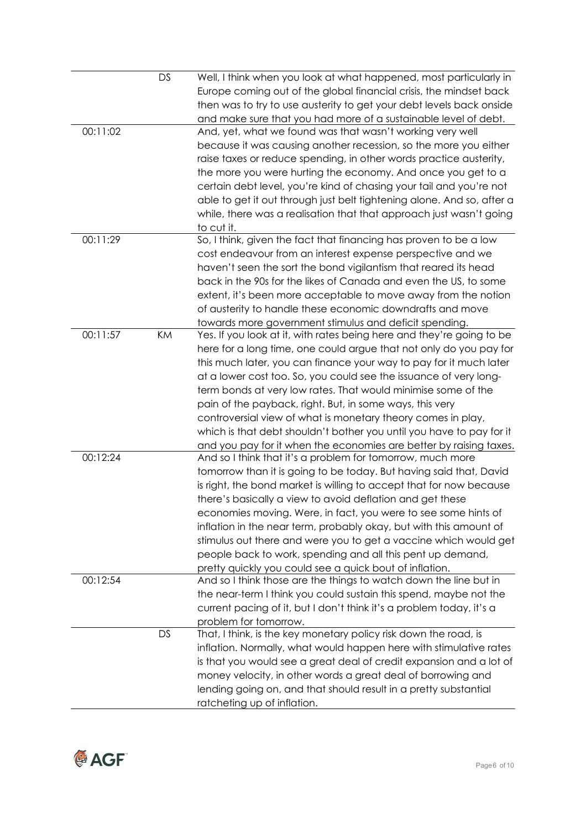|          | <b>DS</b> | Well, I think when you look at what happened, most particularly in     |
|----------|-----------|------------------------------------------------------------------------|
|          |           | Europe coming out of the global financial crisis, the mindset back     |
|          |           | then was to try to use austerity to get your debt levels back onside   |
|          |           | and make sure that you had more of a sustainable level of debt.        |
| 00:11:02 |           | And, yet, what we found was that wasn't working very well              |
|          |           | because it was causing another recession, so the more you either       |
|          |           | raise taxes or reduce spending, in other words practice austerity,     |
|          |           | the more you were hurting the economy. And once you get to a           |
|          |           | certain debt level, you're kind of chasing your tail and you're not    |
|          |           | able to get it out through just belt tightening alone. And so, after a |
|          |           | while, there was a realisation that that approach just wasn't going    |
|          |           | to cut it.                                                             |
| 00:11:29 |           | So, I think, given the fact that financing has proven to be a low      |
|          |           | cost endeavour from an interest expense perspective and we             |
|          |           |                                                                        |
|          |           | haven't seen the sort the bond vigilantism that reared its head        |
|          |           | back in the 90s for the likes of Canada and even the US, to some       |
|          |           | extent, it's been more acceptable to move away from the notion         |
|          |           | of austerity to handle these economic downdrafts and move              |
|          |           | towards more government stimulus and deficit spending.                 |
| 00:11:57 | KM        | Yes. If you look at it, with rates being here and they're going to be  |
|          |           | here for a long time, one could argue that not only do you pay for     |
|          |           | this much later, you can finance your way to pay for it much later     |
|          |           | at a lower cost too. So, you could see the issuance of very long-      |
|          |           | term bonds at very low rates. That would minimise some of the          |
|          |           | pain of the payback, right. But, in some ways, this very               |
|          |           | controversial view of what is monetary theory comes in play,           |
|          |           | which is that debt shouldn't bother you until you have to pay for it   |
|          |           | and you pay for it when the economies are better by raising taxes.     |
| 00:12:24 |           | And so I think that it's a problem for tomorrow, much more             |
|          |           | tomorrow than it is going to be today. But having said that, David     |
|          |           | is right, the bond market is willing to accept that for now because    |
|          |           | there's basically a view to avoid deflation and get these              |
|          |           | economies moving. Were, in fact, you were to see some hints of         |
|          |           | inflation in the near term, probably okay, but with this amount of     |
|          |           | stimulus out there and were you to get a vaccine which would get       |
|          |           | people back to work, spending and all this pent up demand,             |
|          |           | pretty quickly you could see a quick bout of inflation.                |
| 00:12:54 |           | And so I think those are the things to watch down the line but in      |
|          |           | the near-term I think you could sustain this spend, maybe not the      |
|          |           | current pacing of it, but I don't think it's a problem today, it's a   |
|          |           | problem for tomorrow.                                                  |
|          | DS        | That, I think, is the key monetary policy risk down the road, is       |
|          |           | inflation. Normally, what would happen here with stimulative rates     |
|          |           | is that you would see a great deal of credit expansion and a lot of    |
|          |           | money velocity, in other words a great deal of borrowing and           |
|          |           | lending going on, and that should result in a pretty substantial       |
|          |           | ratcheting up of inflation.                                            |
|          |           |                                                                        |

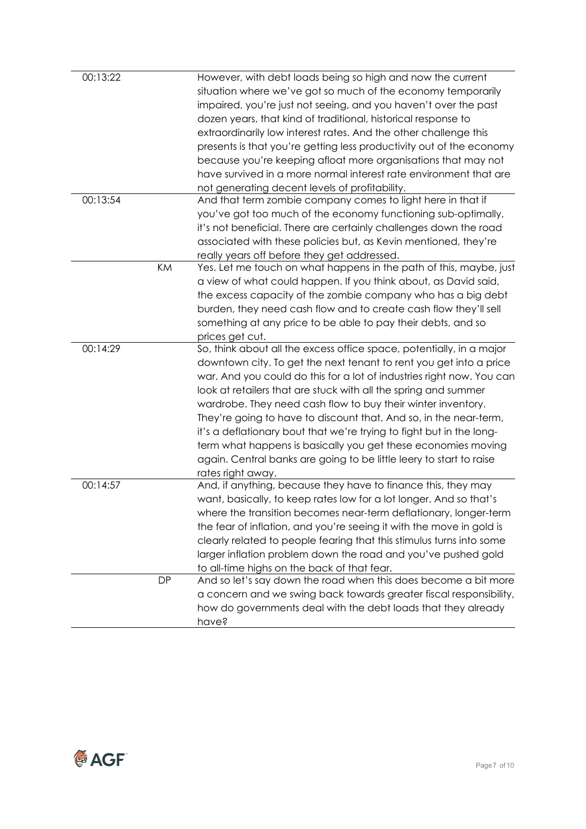| 00:13:22 |           | However, with debt loads being so high and now the current            |
|----------|-----------|-----------------------------------------------------------------------|
|          |           | situation where we've got so much of the economy temporarily          |
|          |           | impaired, you're just not seeing, and you haven't over the past       |
|          |           | dozen years, that kind of traditional, historical response to         |
|          |           | extraordinarily low interest rates. And the other challenge this      |
|          |           | presents is that you're getting less productivity out of the economy  |
|          |           | because you're keeping afloat more organisations that may not         |
|          |           | have survived in a more normal interest rate environment that are     |
|          |           | not generating decent levels of profitability.                        |
| 00:13:54 |           | And that term zombie company comes to light here in that if           |
|          |           | you've got too much of the economy functioning sub-optimally,         |
|          |           | it's not beneficial. There are certainly challenges down the road     |
|          |           | associated with these policies but, as Kevin mentioned, they're       |
|          |           | really years off before they get addressed.                           |
|          | KM        | Yes. Let me touch on what happens in the path of this, maybe, just    |
|          |           | a view of what could happen. If you think about, as David said,       |
|          |           | the excess capacity of the zombie company who has a big debt          |
|          |           | burden, they need cash flow and to create cash flow they'll sell      |
|          |           | something at any price to be able to pay their debts, and so          |
|          |           | prices get cut.                                                       |
| 00:14:29 |           | So, think about all the excess office space, potentially, in a major  |
|          |           | downtown city. To get the next tenant to rent you get into a price    |
|          |           | war. And you could do this for a lot of industries right now. You can |
|          |           | look at retailers that are stuck with all the spring and summer       |
|          |           | wardrobe. They need cash flow to buy their winter inventory.          |
|          |           | They're going to have to discount that. And so, in the near-term,     |
|          |           | it's a deflationary bout that we're trying to fight but in the long-  |
|          |           | term what happens is basically you get these economies moving         |
|          |           | again. Central banks are going to be little leery to start to raise   |
|          |           | rates right away.                                                     |
| 00:14:57 |           | And, if anything, because they have to finance this, they may         |
|          |           | want, basically, to keep rates low for a lot longer. And so that's    |
|          |           | where the transition becomes near-term deflationary, longer-term      |
|          |           | the fear of inflation, and you're seeing it with the move in gold is  |
|          |           | clearly related to people fearing that this stimulus turns into some  |
|          |           | larger inflation problem down the road and you've pushed gold         |
|          |           | to all-time highs on the back of that fear.                           |
|          | <b>DP</b> | And so let's say down the road when this does become a bit more       |
|          |           | a concern and we swing back towards greater fiscal responsibility,    |
|          |           | how do governments deal with the debt loads that they already         |
|          |           | have?                                                                 |
|          |           |                                                                       |

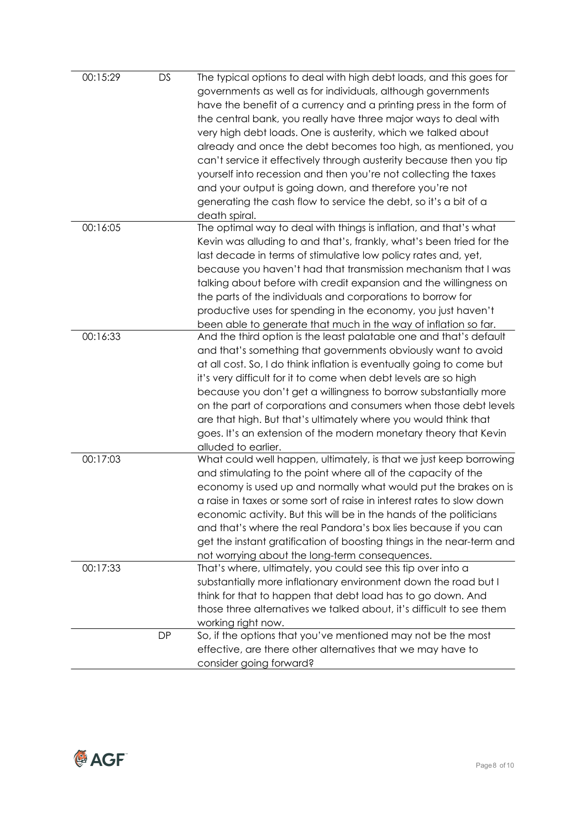| 00:15:29 | <b>DS</b> | The typical options to deal with high debt loads, and this goes for   |
|----------|-----------|-----------------------------------------------------------------------|
|          |           | governments as well as for individuals, although governments          |
|          |           | have the benefit of a currency and a printing press in the form of    |
|          |           | the central bank, you really have three major ways to deal with       |
|          |           | very high debt loads. One is austerity, which we talked about         |
|          |           |                                                                       |
|          |           | already and once the debt becomes too high, as mentioned, you         |
|          |           | can't service it effectively through austerity because then you tip   |
|          |           | yourself into recession and then you're not collecting the taxes      |
|          |           | and your output is going down, and therefore you're not               |
|          |           | generating the cash flow to service the debt, so it's a bit of a      |
|          |           | death spiral.                                                         |
| 00:16:05 |           | The optimal way to deal with things is inflation, and that's what     |
|          |           | Kevin was alluding to and that's, frankly, what's been tried for the  |
|          |           | last decade in terms of stimulative low policy rates and, yet,        |
|          |           | because you haven't had that transmission mechanism that I was        |
|          |           | talking about before with credit expansion and the willingness on     |
|          |           | the parts of the individuals and corporations to borrow for           |
|          |           | productive uses for spending in the economy, you just haven't         |
|          |           | been able to generate that much in the way of inflation so far.       |
| 00:16:33 |           | And the third option is the least palatable one and that's default    |
|          |           | and that's something that governments obviously want to avoid         |
|          |           | at all cost. So, I do think inflation is eventually going to come but |
|          |           | it's very difficult for it to come when debt levels are so high       |
|          |           | because you don't get a willingness to borrow substantially more      |
|          |           | on the part of corporations and consumers when those debt levels      |
|          |           | are that high. But that's ultimately where you would think that       |
|          |           | goes. It's an extension of the modern monetary theory that Kevin      |
|          |           | alluded to earlier.                                                   |
| 00:17:03 |           | What could well happen, ultimately, is that we just keep borrowing    |
|          |           | and stimulating to the point where all of the capacity of the         |
|          |           | economy is used up and normally what would put the brakes on is       |
|          |           | a raise in taxes or some sort of raise in interest rates to slow down |
|          |           | economic activity. But this will be in the hands of the politicians   |
|          |           | and that's where the real Pandora's box lies because if you can       |
|          |           | get the instant gratification of boosting things in the near-term and |
|          |           | not worrying about the long-term consequences.                        |
| 00:17:33 |           | That's where, ultimately, you could see this tip over into a          |
|          |           | substantially more inflationary environment down the road but I       |
|          |           | think for that to happen that debt load has to go down. And           |
|          |           | those three alternatives we talked about, it's difficult to see them  |
|          |           | working right now.                                                    |
|          | <b>DP</b> | So, if the options that you've mentioned may not be the most          |
|          |           | effective, are there other alternatives that we may have to           |
|          |           |                                                                       |
|          |           | consider going forward?                                               |

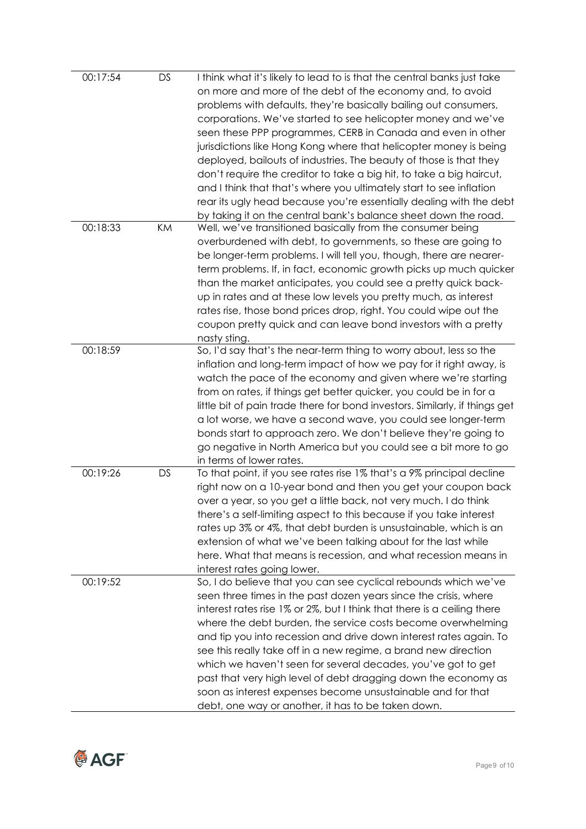| 00:17:54 | <b>DS</b> | I think what it's likely to lead to is that the central banks just take     |
|----------|-----------|-----------------------------------------------------------------------------|
|          |           | on more and more of the debt of the economy and, to avoid                   |
|          |           | problems with defaults, they're basically bailing out consumers,            |
|          |           | corporations. We've started to see helicopter money and we've               |
|          |           | seen these PPP programmes, CERB in Canada and even in other                 |
|          |           | jurisdictions like Hong Kong where that helicopter money is being           |
|          |           | deployed, bailouts of industries. The beauty of those is that they          |
|          |           |                                                                             |
|          |           | don't require the creditor to take a big hit, to take a big haircut,        |
|          |           | and I think that that's where you ultimately start to see inflation         |
|          |           | rear its ugly head because you're essentially dealing with the debt         |
|          |           | by taking it on the central bank's balance sheet down the road.             |
| 00:18:33 | KM        | Well, we've transitioned basically from the consumer being                  |
|          |           | overburdened with debt, to governments, so these are going to               |
|          |           | be longer-term problems. I will tell you, though, there are nearer-         |
|          |           | term problems. If, in fact, economic growth picks up much quicker           |
|          |           | than the market anticipates, you could see a pretty quick back-             |
|          |           | up in rates and at these low levels you pretty much, as interest            |
|          |           | rates rise, those bond prices drop, right. You could wipe out the           |
|          |           | coupon pretty quick and can leave bond investors with a pretty              |
|          |           | nasty sting.                                                                |
| 00:18:59 |           | So, I'd say that's the near-term thing to worry about, less so the          |
|          |           | inflation and long-term impact of how we pay for it right away, is          |
|          |           | watch the pace of the economy and given where we're starting                |
|          |           | from on rates, if things get better quicker, you could be in for a          |
|          |           | little bit of pain trade there for bond investors. Similarly, if things get |
|          |           | a lot worse, we have a second wave, you could see longer-term               |
|          |           | bonds start to approach zero. We don't believe they're going to             |
|          |           | go negative in North America but you could see a bit more to go             |
|          |           | in terms of lower rates.                                                    |
| 00:19:26 | <b>DS</b> | To that point, if you see rates rise 1% that's a 9% principal decline       |
|          |           | right now on a 10-year bond and then you get your coupon back               |
|          |           | over a year, so you get a little back, not very much. I do think            |
|          |           | there's a self-limiting aspect to this because if you take interest         |
|          |           | rates up 3% or 4%, that debt burden is unsustainable, which is an           |
|          |           | extension of what we've been talking about for the last while               |
|          |           | here. What that means is recession, and what recession means in             |
|          |           | interest rates going lower.                                                 |
| 00:19:52 |           | So, I do believe that you can see cyclical rebounds which we've             |
|          |           | seen three times in the past dozen years since the crisis, where            |
|          |           | interest rates rise 1% or 2%, but I think that there is a ceiling there     |
|          |           | where the debt burden, the service costs become overwhelming                |
|          |           | and tip you into recession and drive down interest rates again. To          |
|          |           | see this really take off in a new regime, a brand new direction             |
|          |           |                                                                             |
|          |           | which we haven't seen for several decades, you've got to get                |
|          |           | past that very high level of debt dragging down the economy as              |
|          |           | soon as interest expenses become unsustainable and for that                 |
|          |           | debt, one way or another, it has to be taken down.                          |